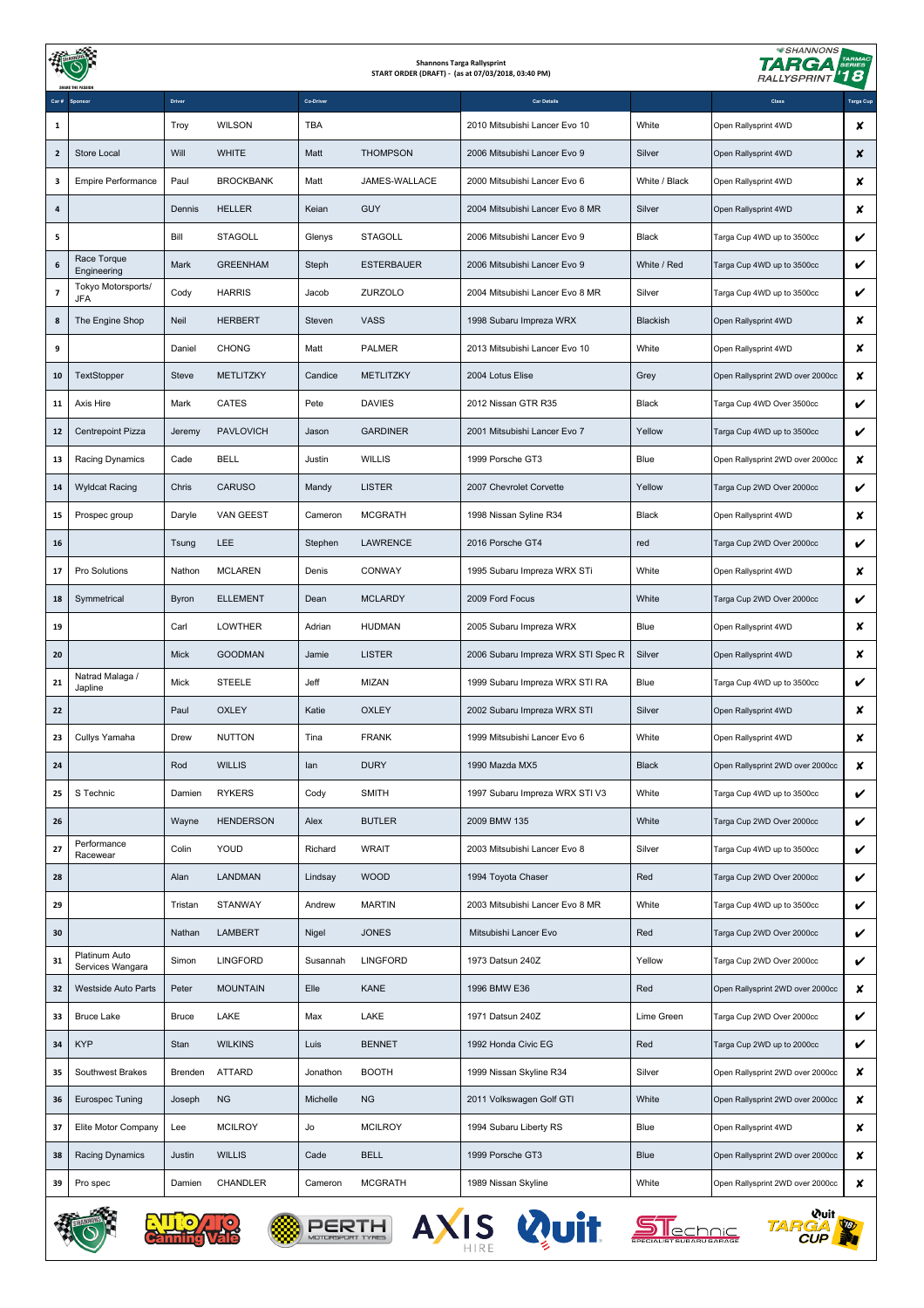|                                                                        |                                   |              |                  |            |                   | <b>Shannons Targa Rallysprint</b><br>START ORDER (DRAFT) - (as at 07/03/2018, 03:40 PM) | <b>SHANNONS</b><br><b>TARMAC</b><br>SERIES<br>174 F<br>'18<br><b>RALLYSPRINT</b> |                                  |           |  |
|------------------------------------------------------------------------|-----------------------------------|--------------|------------------|------------|-------------------|-----------------------------------------------------------------------------------------|----------------------------------------------------------------------------------|----------------------------------|-----------|--|
|                                                                        |                                   | Driver       |                  | Co-Driver  |                   | <b>Car Details</b>                                                                      |                                                                                  | Class                            | Targa Cup |  |
| 1                                                                      |                                   | Troy         | <b>WILSON</b>    | <b>TBA</b> |                   | 2010 Mitsubishi Lancer Evo 10                                                           | White                                                                            | Open Rallysprint 4WD             | x         |  |
| $\overline{2}$                                                         | Store Local                       | Will         | <b>WHITE</b>     | Matt       | <b>THOMPSON</b>   | 2006 Mitsubishi Lancer Evo 9                                                            | Silver                                                                           | Open Rallysprint 4WD             | x         |  |
| 3                                                                      | Empire Performance                | Paul         | <b>BROCKBANK</b> | Matt       | JAMES-WALLACE     | 2000 Mitsubishi Lancer Evo 6                                                            | White / Black                                                                    | Open Rallysprint 4WD             | x         |  |
| 4                                                                      |                                   | Dennis       | <b>HELLER</b>    | Keian      | <b>GUY</b>        | 2004 Mitsubishi Lancer Evo 8 MR                                                         | Silver                                                                           | Open Rallysprint 4WD             | x         |  |
| 5                                                                      |                                   | Bill         | <b>STAGOLL</b>   | Glenys     | <b>STAGOLL</b>    | 2006 Mitsubishi Lancer Evo 9                                                            | Black                                                                            | Targa Cup 4WD up to 3500cc       | V         |  |
| 6                                                                      | Race Torque<br>Engineering        | Mark         | <b>GREENHAM</b>  | Steph      | <b>ESTERBAUER</b> | 2006 Mitsubishi Lancer Evo 9                                                            | White / Red                                                                      | Targa Cup 4WD up to 3500cc       | V         |  |
| $\overline{\phantom{a}}$                                               | Tokyo Motorsports/<br>JFA         | Cody         | <b>HARRIS</b>    | Jacob      | ZURZOLO           | 2004 Mitsubishi Lancer Evo 8 MR                                                         | Silver                                                                           | Targa Cup 4WD up to 3500cc       | V         |  |
| 8                                                                      | The Engine Shop                   | Neil         | <b>HERBERT</b>   | Steven     | <b>VASS</b>       | 1998 Subaru Impreza WRX                                                                 | Blackish                                                                         | Open Rallysprint 4WD             | x         |  |
| 9                                                                      |                                   | Daniel       | <b>CHONG</b>     | Matt       | <b>PALMER</b>     | 2013 Mitsubishi Lancer Evo 10                                                           | White                                                                            | Open Rallysprint 4WD             | x         |  |
| 10                                                                     | TextStopper                       | Steve        | METLITZKY        | Candice    | <b>METLITZKY</b>  | 2004 Lotus Elise                                                                        | Grey                                                                             | Open Rallysprint 2WD over 2000cc | x         |  |
| 11                                                                     | Axis Hire                         | Mark         | <b>CATES</b>     | Pete       | <b>DAVIES</b>     | 2012 Nissan GTR R35                                                                     | <b>Black</b>                                                                     | Targa Cup 4WD Over 3500cc        | V         |  |
| 12                                                                     | Centrepoint Pizza                 | Jeremy       | <b>PAVLOVICH</b> | Jason      | <b>GARDINER</b>   | 2001 Mitsubishi Lancer Evo 7                                                            | Yellow                                                                           | Targa Cup 4WD up to 3500cc       | V         |  |
| 13                                                                     | Racing Dynamics                   | Cade         | <b>BELL</b>      | Justin     | <b>WILLIS</b>     | 1999 Porsche GT3                                                                        | Blue                                                                             | Open Rallysprint 2WD over 2000cc | x         |  |
| 14                                                                     | <b>Wyldcat Racing</b>             | Chris        | <b>CARUSO</b>    | Mandy      | <b>LISTER</b>     | 2007 Chevrolet Corvette                                                                 | Yellow                                                                           | Targa Cup 2WD Over 2000cc        | V         |  |
| 15                                                                     | Prospec group                     | Daryle       | VAN GEEST        | Cameron    | <b>MCGRATH</b>    | 1998 Nissan Syline R34                                                                  | <b>Black</b>                                                                     | Open Rallysprint 4WD             | x         |  |
| 16                                                                     |                                   | Tsung        | <b>LEE</b>       | Stephen    | <b>LAWRENCE</b>   | 2016 Porsche GT4                                                                        | red                                                                              | Targa Cup 2WD Over 2000cc        | V         |  |
| 17                                                                     | Pro Solutions                     | Nathon       | <b>MCLAREN</b>   | Denis      | <b>CONWAY</b>     | 1995 Subaru Impreza WRX STi                                                             | White                                                                            | Open Rallysprint 4WD             | x         |  |
| 18                                                                     | Symmetrical                       | <b>Byron</b> | <b>ELLEMENT</b>  | Dean       | <b>MCLARDY</b>    | 2009 Ford Focus                                                                         | White                                                                            | Targa Cup 2WD Over 2000cc        | V         |  |
| 19                                                                     |                                   | Carl         | <b>LOWTHER</b>   | Adrian     | <b>HUDMAN</b>     | 2005 Subaru Impreza WRX                                                                 | Blue                                                                             | Open Rallysprint 4WD             | x         |  |
| 20                                                                     |                                   | <b>Mick</b>  | <b>GOODMAN</b>   | Jamie      | <b>LISTER</b>     | 2006 Subaru Impreza WRX STI Spec R                                                      | Silver                                                                           | Open Rallysprint 4WD             | x         |  |
| 21                                                                     | Natrad Malaga /<br>Japline        | Mick         | STEELE           | Jeff       | <b>MIZAN</b>      | 1999 Subaru Impreza WRX STI RA                                                          | Blue                                                                             | Targa Cup 4WD up to 3500cc       | V         |  |
| 22                                                                     |                                   | Paul         | <b>OXLEY</b>     | Katie      | <b>OXLEY</b>      | 2002 Subaru Impreza WRX STI                                                             | Silver                                                                           | Open Rallysprint 4WD             | x         |  |
| 23                                                                     | Cullys Yamaha                     | Drew         | <b>NUTTON</b>    | Tina       | <b>FRANK</b>      | 1999 Mitsubishi Lancer Evo 6                                                            | White                                                                            | Open Rallysprint 4WD             | x         |  |
| 24                                                                     |                                   | Rod          | <b>WILLIS</b>    | lan        | <b>DURY</b>       | 1990 Mazda MX5                                                                          | <b>Black</b>                                                                     | Open Rallysprint 2WD over 2000cc | x         |  |
| 25                                                                     | S Technic                         | Damien       | <b>RYKERS</b>    | Cody       | <b>SMITH</b>      | 1997 Subaru Impreza WRX STI V3                                                          | White                                                                            | Targa Cup 4WD up to 3500cc       | V         |  |
| 26                                                                     |                                   | Wayne        | <b>HENDERSON</b> | Alex       | <b>BUTLER</b>     | 2009 BMW 135                                                                            | White                                                                            | Targa Cup 2WD Over 2000cc        | V         |  |
| 27                                                                     | Performance<br>Racewear           | Colin        | YOUD             | Richard    | <b>WRAIT</b>      | 2003 Mitsubishi Lancer Evo 8                                                            | Silver                                                                           | Targa Cup 4WD up to 3500cc       | V         |  |
| 28                                                                     |                                   | Alan         | <b>LANDMAN</b>   | Lindsay    | <b>WOOD</b>       | 1994 Toyota Chaser                                                                      | Red                                                                              | Targa Cup 2WD Over 2000cc        | V         |  |
| 29                                                                     |                                   | Tristan      | STANWAY          | Andrew     | <b>MARTIN</b>     | 2003 Mitsubishi Lancer Evo 8 MR                                                         | White                                                                            | Targa Cup 4WD up to 3500cc       | V         |  |
| 30                                                                     |                                   | Nathan       | <b>LAMBERT</b>   | Nigel      | <b>JONES</b>      | Mitsubishi Lancer Evo                                                                   | Red                                                                              | Targa Cup 2WD Over 2000cc        | V         |  |
| 31                                                                     | Platinum Auto<br>Services Wangara | Simon        | <b>LINGFORD</b>  | Susannah   | <b>LINGFORD</b>   | 1973 Datsun 240Z                                                                        | Yellow                                                                           | Targa Cup 2WD Over 2000cc        | V         |  |
| 32                                                                     | Westside Auto Parts               | Peter        | <b>MOUNTAIN</b>  | Elle       | <b>KANE</b>       | 1996 BMW E36                                                                            | Red                                                                              | Open Rallysprint 2WD over 2000cc | x         |  |
| 33                                                                     | <b>Bruce Lake</b>                 | <b>Bruce</b> | LAKE             | Max        | LAKE              | 1971 Datsun 240Z                                                                        | Lime Green                                                                       | Targa Cup 2WD Over 2000cc        | V         |  |
| 34                                                                     | <b>KYP</b>                        | Stan         | <b>WILKINS</b>   | Luis       | <b>BENNET</b>     | 1992 Honda Civic EG                                                                     | Red                                                                              | Targa Cup 2WD up to 2000cc       | V         |  |
| 35                                                                     | Southwest Brakes                  | Brenden      | <b>ATTARD</b>    | Jonathon   | <b>BOOTH</b>      | 1999 Nissan Skyline R34                                                                 | Silver                                                                           | Open Rallysprint 2WD over 2000cc | x         |  |
| 36                                                                     | Eurospec Tuning                   | Joseph       | <b>NG</b>        | Michelle   | <b>NG</b>         | 2011 Volkswagen Golf GTI                                                                | White                                                                            | Open Rallysprint 2WD over 2000cc | x         |  |
| 37                                                                     | Elite Motor Company               | Lee          | <b>MCILROY</b>   | Jo         | <b>MCILROY</b>    | 1994 Subaru Liberty RS                                                                  | Blue                                                                             | Open Rallysprint 4WD             | x         |  |
| 38                                                                     | Racing Dynamics                   | Justin       | <b>WILLIS</b>    | Cade       | <b>BELL</b>       | 1999 Porsche GT3                                                                        | Blue                                                                             | Open Rallysprint 2WD over 2000cc | x         |  |
| 39                                                                     | Pro spec                          | Damien       | CHANDLER         | Cameron    | <b>MCGRATH</b>    | 1989 Nissan Skyline                                                                     | White                                                                            | Open Rallysprint 2WD over 2000cc | x         |  |
| <b>Quit</b><br>AXIS Wuit<br><u>Slechnic</u><br><b>JOTORSPORT TYRES</b> |                                   |              |                  |            |                   |                                                                                         |                                                                                  |                                  |           |  |